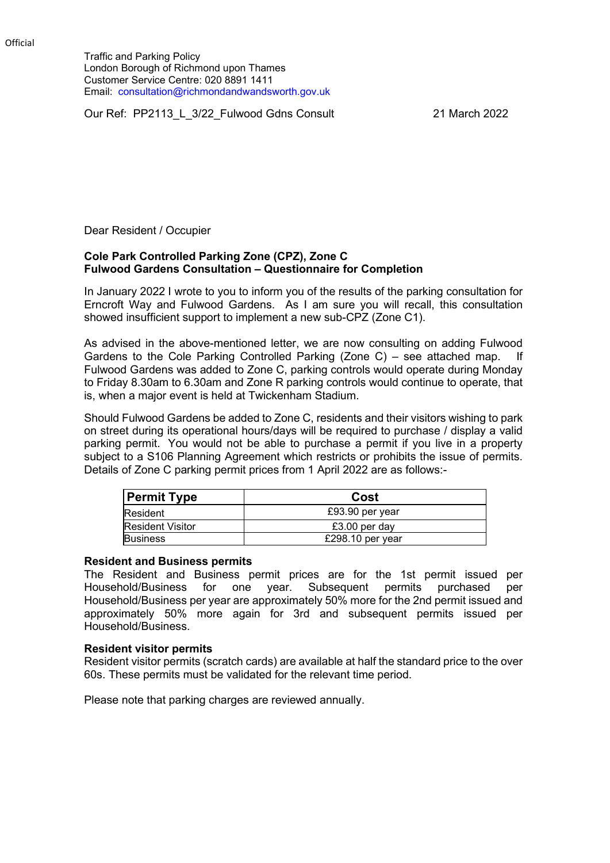Traffic and Parking Policy London Borough of Richmond upon Thames Customer Service Centre: 020 8891 1411 Email: consultation@richmondandwandsworth.gov.uk

Our Ref: PP2113 L 3/22 Fulwood Gdns Consult 21 March 2022

Dear Resident / Occupier

## **Cole Park Controlled Parking Zone (CPZ), Zone C Fulwood Gardens Consultation – Questionnaire for Completion**

In January 2022 I wrote to you to inform you of the results of the parking consultation for Erncroft Way and Fulwood Gardens. As I am sure you will recall, this consultation showed insufficient support to implement a new sub-CPZ (Zone C1).

As advised in the above-mentioned letter, we are now consulting on adding Fulwood Gardens to the Cole Parking Controlled Parking (Zone C) – see attached map. If Fulwood Gardens was added to Zone C, parking controls would operate during Monday to Friday 8.30am to 6.30am and Zone R parking controls would continue to operate, that is, when a major event is held at Twickenham Stadium.

Should Fulwood Gardens be added to Zone C, residents and their visitors wishing to park on street during its operational hours/days will be required to purchase / display a valid parking permit. You would not be able to purchase a permit if you live in a property subject to a S106 Planning Agreement which restricts or prohibits the issue of permits. Details of Zone C parking permit prices from 1 April 2022 are as follows:-

| <b>Permit Type</b>      | Cost             |
|-------------------------|------------------|
| Resident                | £93.90 per year  |
| <b>Resident Visitor</b> | £3.00 per day    |
| <b>Business</b>         | £298.10 per year |

## **Resident and Business permits**

The Resident and Business permit prices are for the 1st permit issued per Household/Business for one year. Subsequent permits purchased per Household/Business per year are approximately 50% more for the 2nd permit issued and approximately 50% more again for 3rd and subsequent permits issued per Household/Business.

## **Resident visitor permits**

Resident visitor permits (scratch cards) are available at half the standard price to the over 60s. These permits must be validated for the relevant time period.

Please note that parking charges are reviewed annually.